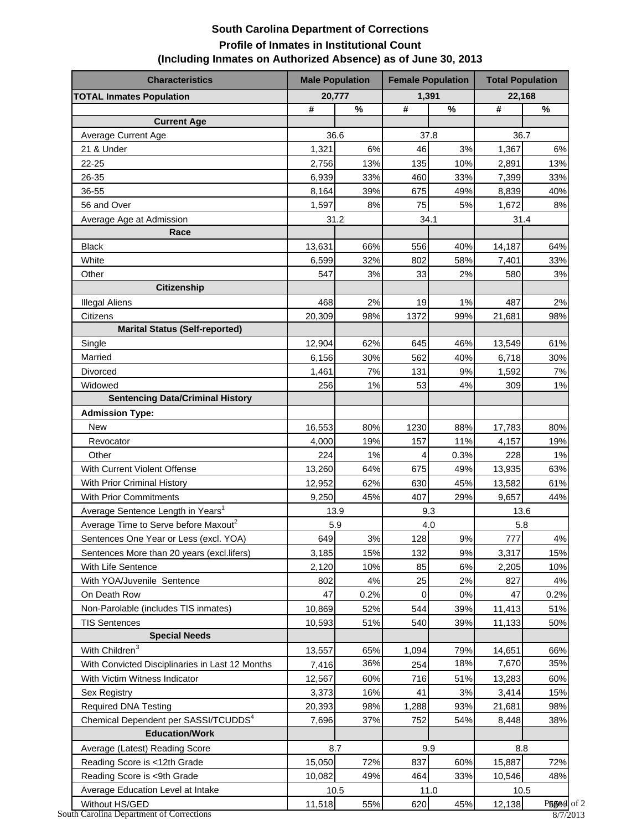## **South Carolina Department of Corrections Profile of Inmates in Institutional Count (Including Inmates on Authorized Absence) as of June 30, 2013**

| <b>Characteristics</b>                           | <b>Male Population</b> |      | <b>Female Population</b> |       | <b>Total Population</b> |       |  |
|--------------------------------------------------|------------------------|------|--------------------------|-------|-------------------------|-------|--|
| <b>TOTAL Inmates Population</b>                  | 20,777                 |      | 1,391                    |       | 22,168                  |       |  |
|                                                  | #                      | $\%$ | $\pmb{\#}$               | $\%$  | #                       | $\%$  |  |
| <b>Current Age</b>                               |                        |      |                          |       |                         |       |  |
| Average Current Age                              |                        | 36.6 |                          | 37.8  | 36.7                    |       |  |
| 21 & Under                                       | 1,321                  | 6%   | 46                       | 3%    | 1,367                   | 6%    |  |
| 22-25                                            | 2,756                  | 13%  | 135                      | 10%   | 2,891                   | 13%   |  |
| 26-35                                            | 6,939                  | 33%  | 460                      | 33%   | 7,399                   | 33%   |  |
| 36-55                                            | 8,164                  | 39%  | 675                      | 49%   | 8,839                   | 40%   |  |
| 56 and Over                                      | 1,597                  | 8%   | 75                       | 5%    | 1,672                   | 8%    |  |
| Average Age at Admission                         | 31.2                   |      | 34.1                     |       | 31.4                    |       |  |
| Race                                             |                        |      |                          |       |                         |       |  |
| <b>Black</b>                                     | 13,631                 | 66%  | 556                      | 40%   | 14,187                  | 64%   |  |
| White                                            | 6,599                  | 32%  | 802                      | 58%   | 7,401                   | 33%   |  |
| Other                                            | 547                    | 3%   | 33                       | 2%    | 580                     | 3%    |  |
| <b>Citizenship</b>                               |                        |      |                          |       |                         |       |  |
| <b>Illegal Aliens</b>                            | 468                    | 2%   | 19                       | 1%    | 487                     | 2%    |  |
| Citizens                                         | 20,309                 | 98%  | 1372                     | 99%   | 21,681                  | 98%   |  |
| <b>Marital Status (Self-reported)</b>            |                        |      |                          |       |                         |       |  |
| Single                                           | 12,904                 | 62%  | 645                      | 46%   | 13,549                  | 61%   |  |
| Married                                          | 6,156                  | 30%  | 562                      | 40%   | 6,718                   | 30%   |  |
| Divorced                                         | 1,461                  | 7%   | 131                      | 9%    | 1,592                   | $7\%$ |  |
| Widowed                                          | 256                    | 1%   | 53                       | 4%    | 309                     | 1%    |  |
| <b>Sentencing Data/Criminal History</b>          |                        |      |                          |       |                         |       |  |
| <b>Admission Type:</b>                           |                        |      |                          |       |                         |       |  |
| <b>New</b>                                       | 16,553                 | 80%  | 1230                     | 88%   | 17,783                  | 80%   |  |
| Revocator                                        | 4,000                  | 19%  | 157                      | 11%   | 4,157                   | 19%   |  |
| Other                                            | 224                    | 1%   | 4                        | 0.3%  | 228                     | $1\%$ |  |
| With Current Violent Offense                     | 13,260                 | 64%  | 675                      | 49%   | 13,935                  | 63%   |  |
| With Prior Criminal History                      | 12,952                 | 62%  | 630                      | 45%   | 13,582                  | 61%   |  |
| <b>With Prior Commitments</b>                    | 9,250                  | 45%  | 407                      | 29%   | 9,657                   | 44%   |  |
| Average Sentence Length in Years <sup>1</sup>    |                        | 13.9 |                          | 9.3   |                         | 13.6  |  |
| Average Time to Serve before Maxout <sup>2</sup> |                        | 5.9  | 4.0                      |       | 5.8                     |       |  |
| Sentences One Year or Less (excl. YOA)           | 649                    | 3%   | 128                      | 9%    | 777                     | 4%    |  |
| Sentences More than 20 years (excl.lifers)       | 3,185                  | 15%  | 132                      | 9%    | 3,317                   | 15%   |  |
| With Life Sentence                               | 2,120                  | 10%  | 85                       | $6\%$ | 2,205                   | 10%   |  |
| With YOA/Juvenile Sentence                       | 802                    | 4%   | 25                       | 2%    | 827                     | $4\%$ |  |
| On Death Row                                     | 47                     | 0.2% | 0                        | 0%    | 47                      | 0.2%  |  |
| Non-Parolable (includes TIS inmates)             | 10,869                 | 52%  | 544                      | 39%   | 11,413                  | 51%   |  |
| <b>TIS Sentences</b>                             | 10,593                 | 51%  | 540                      | 39%   | 11,133                  | 50%   |  |
| <b>Special Needs</b>                             |                        |      |                          |       |                         |       |  |
| With Children <sup>3</sup>                       | 13,557                 | 65%  | 1,094                    | 79%   | 14,651                  | 66%   |  |
| With Convicted Disciplinaries in Last 12 Months  | 7,416                  | 36%  | 254                      | 18%   | 7,670                   | 35%   |  |
| With Victim Witness Indicator                    | 12,567                 | 60%  | 716                      | 51%   | 13,283                  | 60%   |  |
| Sex Registry                                     | 3,373                  | 16%  | 41                       | 3%    | 3,414                   | 15%   |  |
| <b>Required DNA Testing</b>                      | 20,393                 | 98%  | 1,288                    | 93%   | 21,681                  | 98%   |  |
| Chemical Dependent per SASSI/TCUDDS <sup>4</sup> | 7,696                  | 37%  | 752                      | 54%   | 8,448                   | 38%   |  |
| <b>Education/Work</b>                            |                        |      |                          |       |                         |       |  |
| Average (Latest) Reading Score                   |                        | 8.7  |                          | 9.9   | 8.8                     |       |  |
| Reading Score is <12th Grade                     | 15,050                 | 72%  | 837                      | 60%   | 15,887                  | 72%   |  |
| Reading Score is <9th Grade                      | 10,082                 | 49%  | 464                      | 33%   | 10,546                  | 48%   |  |
| Average Education Level at Intake                |                        | 10.5 |                          | 11.0  | 10.5                    |       |  |
| Without HS/GED                                   | 11,518                 | 55%  | 620                      | 45%   | 12,138                  | P55%  |  |

South Carolina Department of Corrections